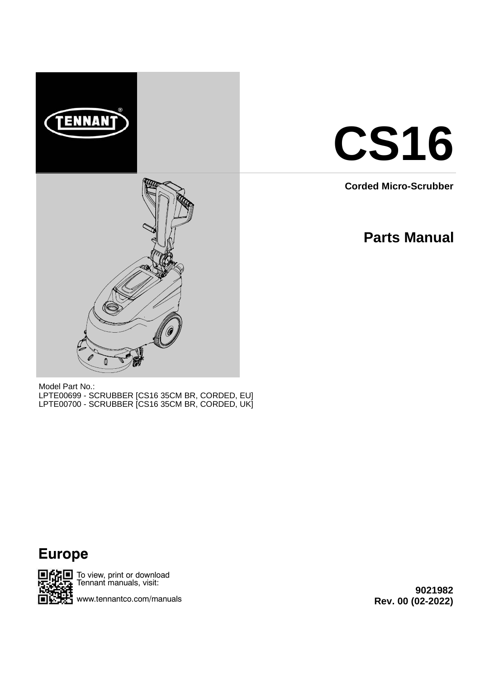



**Corded Micro-Scrubber**

# **Parts Manual**

Model Part No.: LPTE00699 - SCRUBBER [CS16 35CM BR, CORDED, EU] LPTE00700 - SCRUBBER [CS16 35CM BR, CORDED, UK]





SHII To view, print or download Tennant manuals, visit:

www.tennantco.com/manuals

**9021982 Rev. 00 (02-2022)**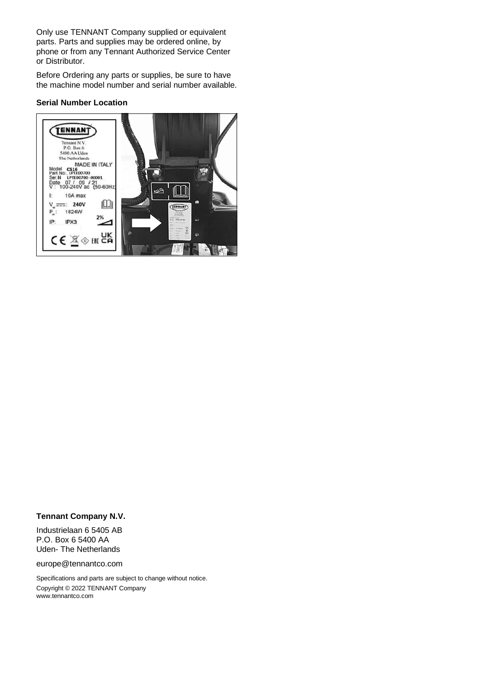Only use TENNANT Company supplied or equivalent parts. Parts and supplies may be ordered online, by phone or from any Tennant Authorized Service Center or Distributor.

Before Ordering any parts or supplies, be sure to have the machine model number and serial number available.

#### **Serial Number Location**



#### **Tennant Company N.V.**

Industrielaan 6 5405 AB P.O. Box 6 5400 AA Uden- The Netherlands

europe@tennantco.com

Specifications and parts are subject to change without notice. Copyright © 2022 TENNANT Company www.tennantco.com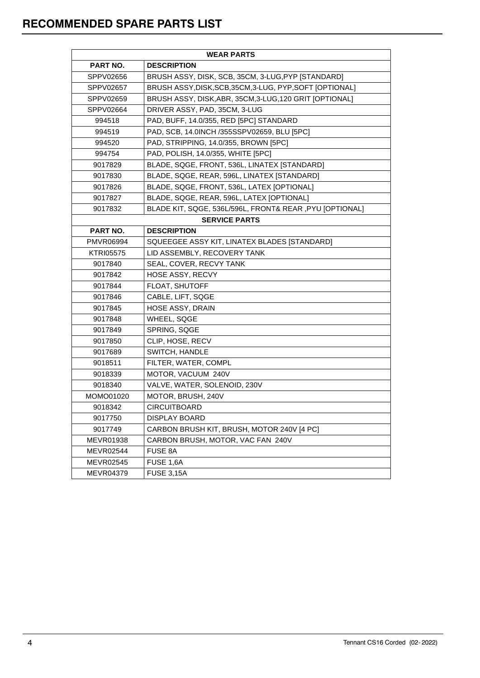| <b>WEAR PARTS</b> |                                                          |  |  |  |
|-------------------|----------------------------------------------------------|--|--|--|
| PART NO.          | <b>DESCRIPTION</b>                                       |  |  |  |
| SPPV02656         | BRUSH ASSY, DISK, SCB, 35CM, 3-LUG, PYP [STANDARD]       |  |  |  |
| SPPV02657         | BRUSH ASSY, DISK, SCB, 35CM, 3-LUG, PYP, SOFT [OPTIONAL] |  |  |  |
| SPPV02659         | BRUSH ASSY, DISK, ABR, 35CM, 3-LUG, 120 GRIT [OPTIONAL]  |  |  |  |
| SPPV02664         | DRIVER ASSY, PAD, 35CM, 3-LUG                            |  |  |  |
| 994518            | PAD, BUFF, 14.0/355, RED [5PC] STANDARD                  |  |  |  |
| 994519            | PAD, SCB, 14.0INCH /355SSPV02659, BLU [5PC]              |  |  |  |
| 994520            | PAD, STRIPPING, 14.0/355, BROWN [5PC]                    |  |  |  |
| 994754            | PAD, POLISH, 14.0/355, WHITE [5PC]                       |  |  |  |
| 9017829           | BLADE, SQGE, FRONT, 536L, LINATEX [STANDARD]             |  |  |  |
| 9017830           | BLADE, SQGE, REAR, 596L, LINATEX [STANDARD]              |  |  |  |
| 9017826           | BLADE, SQGE, FRONT, 536L, LATEX [OPTIONAL]               |  |  |  |
| 9017827           | BLADE, SQGE, REAR, 596L, LATEX [OPTIONAL]                |  |  |  |
| 9017832           | BLADE KIT, SQGE, 536L/596L, FRONT& REAR, PYU [OPTIONAL]  |  |  |  |
|                   | <b>SERVICE PARTS</b>                                     |  |  |  |
| PART NO.          | <b>DESCRIPTION</b>                                       |  |  |  |
| PMVR06994         | SQUEEGEE ASSY KIT, LINATEX BLADES [STANDARD]             |  |  |  |
| <b>KTRI05575</b>  | LID ASSEMBLY, RECOVERY TANK                              |  |  |  |
| 9017840           | SEAL, COVER, RECVY TANK                                  |  |  |  |
| 9017842           | HOSE ASSY, RECVY                                         |  |  |  |
| 9017844           | FLOAT, SHUTOFF                                           |  |  |  |
| 9017846           | CABLE, LIFT, SQGE                                        |  |  |  |
| 9017845           | HOSE ASSY, DRAIN                                         |  |  |  |
| 9017848           | WHEEL, SQGE                                              |  |  |  |
| 9017849           | SPRING, SQGE                                             |  |  |  |
| 9017850           | CLIP, HOSE, RECV                                         |  |  |  |
| 9017689           | SWITCH, HANDLE                                           |  |  |  |
| 9018511           | FILTER, WATER, COMPL                                     |  |  |  |
| 9018339           | MOTOR, VACUUM 240V                                       |  |  |  |
| 9018340           | VALVE, WATER, SOLENOID, 230V                             |  |  |  |
| MOMO01020         | MOTOR, BRUSH, 240V                                       |  |  |  |
| 9018342           | <b>CIRCUITBOARD</b>                                      |  |  |  |
| 9017750           | DISPLAY BOARD                                            |  |  |  |
| 9017749           | CARBON BRUSH KIT, BRUSH, MOTOR 240V [4 PC]               |  |  |  |
| MEVR01938         | CARBON BRUSH, MOTOR, VAC FAN 240V                        |  |  |  |
| MEVR02544         | FUSE 8A                                                  |  |  |  |
| MEVR02545         | FUSE 1,6A                                                |  |  |  |
| MEVR04379         | <b>FUSE 3,15A</b>                                        |  |  |  |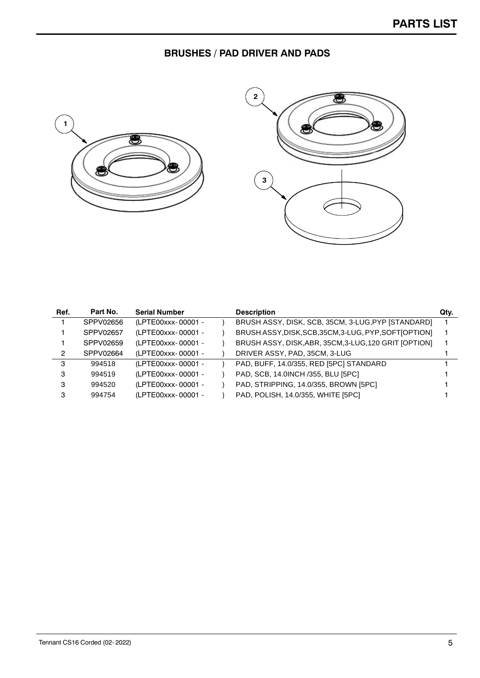# **BRUSHES / PAD DRIVER AND PADS**





| Ref. | Part No.  | <b>Serial Number</b> | <b>Description</b>                                     | Qty. |
|------|-----------|----------------------|--------------------------------------------------------|------|
|      | SPPV02656 | (LPTE00xxx-00001 -   | BRUSH ASSY, DISK, SCB, 35CM, 3-LUG, PYP [STANDARD]     |      |
|      | SPPV02657 | (LPTE00xxx-00001 -   | BRUSH ASSY, DISK, SCB, 35CM, 3-LUG, PYP, SOFT [OPTION] |      |
|      | SPPV02659 | (LPTE00xxx-00001 -   | BRUSH ASSY, DISK, ABR, 35CM, 3-LUG, 120 GRIT [OPTION]  |      |
| 2    | SPPV02664 | (LPTE00xxx-00001 -   | DRIVER ASSY, PAD, 35CM, 3-LUG                          |      |
| з    | 994518    | (LPTE00xxx-00001 -   | PAD, BUFF, 14.0/355, RED [5PC] STANDARD                |      |
| з    | 994519    | (LPTE00xxx-00001 -   | PAD, SCB, 14.0INCH /355, BLU [5PC]                     |      |
| з    | 994520    | (LPTE00xxx-00001 -   | PAD, STRIPPING, 14.0/355, BROWN [5PC]                  |      |
| з    | 994754    | (LPTE00xxx-00001 -   | PAD, POLISH, 14.0/355, WHITE [5PC]                     |      |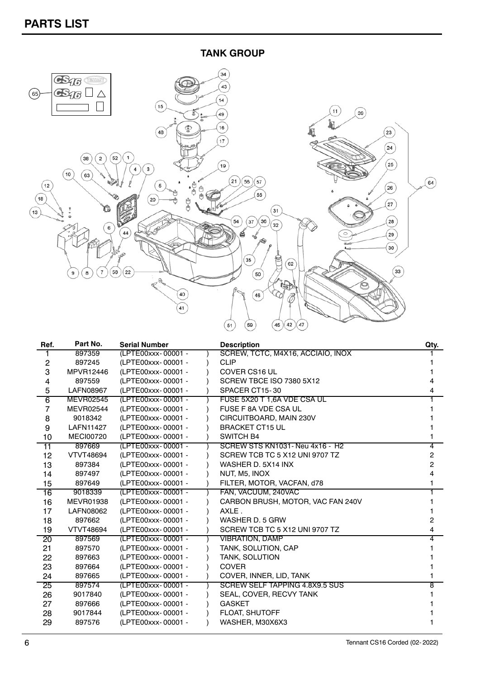**TANK GROUP**



| Ref.           | Part No.         | <b>Serial Number</b> | <b>Description</b>                | Qty.           |
|----------------|------------------|----------------------|-----------------------------------|----------------|
|                | 897359           | (LPTE00xxx-00001 -   | SCREW, TCTC, M4X16, ACCIAIO, INOX |                |
| $\overline{c}$ | 897245           | (LPTE00xxx-00001 -   | <b>CLIP</b>                       |                |
| 3              | MPVR12446        | (LPTE00xxx-00001 -   | <b>COVER CS16 UL</b>              |                |
| 4              | 897559           | (LPTE00xxx-00001 -   | SCREW TBCE ISO 7380 5X12          |                |
| 5              | <b>LAFN08967</b> | (LPTE00xxx-00001 -   | SPACER CT15-30                    | 4              |
| 6              | <b>MEVR02545</b> | (LPTE00xxx-00001 -   | FUSE 5X20 T 1,6A VDE CSA UL       |                |
| 7              | <b>MEVR02544</b> | (LPTE00xxx-00001 -   | FUSE F 8A VDE CSA UL              |                |
| 8              | 9018342          | (LPTE00xxx-00001 -   | CIRCUITBOARD, MAIN 230V           |                |
| 9              | <b>LAFN11427</b> | (LPTE00xxx-00001 -   | <b>BRACKET CT15 UL</b>            |                |
| 10             | <b>MECI00720</b> | (LPTE00xxx-00001 -   | <b>SWITCH B4</b>                  |                |
| 11             | 897669           | (LPTE00xxx-00001 -   | SCREW STS KN1031 - Neu 4x16 - H2  | 4              |
| 12             | <b>VTVT48694</b> | (LPTE00xxx-00001 -   | SCREW TCB TC 5 X12 UNI 9707 TZ    | 2              |
| 13             | 897384           | (LPTE00xxx-00001 -   | WASHER D. 5X14 INX                | $\overline{2}$ |
| 14             | 897497           | (LPTE00xxx-00001 -   | NUT, M5, INOX                     | 4              |
| 15             | 897649           | (LPTE00xxx-00001 -   | FILTER, MOTOR, VACFAN, d78        |                |
| 16             | 9018339          | (LPTE00xxx-00001 -   | FAN, VACUUM, 240VAC               |                |
| 16             | <b>MEVR01938</b> | (LPTE00xxx-00001 -   | CARBON BRUSH, MOTOR, VAC FAN 240V |                |
| 17             | LAFN08062        | (LPTE00xxx-00001 -   | AXLE.                             |                |
| 18             | 897662           | (LPTE00xxx-00001 -   | WASHER D. 5 GRW                   | 2              |
| 19             | <b>VTVT48694</b> | (LPTE00xxx-00001 -   | SCREW TCB TC 5 X12 UNI 9707 TZ    | 4              |
| 20             | 897569           | (LPTE00xxx-00001 -   | <b>VIBRATION, DAMP</b>            | 4              |
| 21             | 897570           | (LPTE00xxx-00001 -   | TANK, SOLUTION, CAP               |                |
| 22             | 897663           | (LPTE00xxx-00001 -   | <b>TANK, SOLUTION</b>             |                |
| 23             | 897664           | (LPTE00xxx-00001 -   | <b>COVER</b>                      |                |
| 24             | 897665           | (LPTE00xxx-00001 -   | COVER, INNER, LID, TANK           |                |
| 25             | 897574           | (LPTE00xxx-00001 -   | SCREW SELF TAPPING 4.8X9.5 SUS    | 8              |
| 26             | 9017840          | (LPTE00xxx-00001 -   | SEAL, COVER, RECVY TANK           |                |
| 27             | 897666           | (LPTE00xxx-00001 -   | <b>GASKET</b>                     |                |
| 28             | 9017844          | (LPTE00xxx-00001 -   | <b>FLOAT, SHUTOFF</b>             |                |
| 29             | 897576           | (LPTE00xxx-00001 -   | WASHER, M30X6X3                   |                |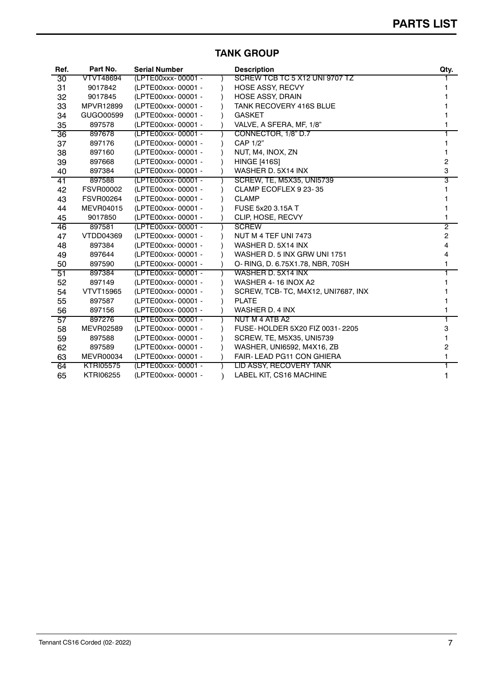| Ref. | Part No.         | <b>Serial Number</b> | <b>Description</b>                 | Qty. |
|------|------------------|----------------------|------------------------------------|------|
| 30   | VTVT48694        | (LPTE00xxx-00001 -   | SCREW TCB TC 5 X12 UNI 9707 TZ     |      |
| 31   | 9017842          | (LPTE00xxx-00001 -   | <b>HOSE ASSY, RECVY</b>            |      |
| 32   | 9017845          | (LPTE00xxx-00001 -   | <b>HOSE ASSY, DRAIN</b>            |      |
| 33   | <b>MPVR12899</b> | (LPTE00xxx-00001 -   | <b>TANK RECOVERY 416S BLUE</b>     |      |
| 34   | GUGO00599        | (LPTE00xxx-00001 -   | <b>GASKET</b>                      |      |
| 35   | 897578           | (LPTE00xxx-00001 -   | VALVE, A SFERA, MF, 1/8"           |      |
| 36   | 897678           | (LPTE00xxx-00001 -   | CONNECTOR, 1/8" D.7                |      |
| 37   | 897176           | (LPTE00xxx-00001 -   | CAP 1/2"                           |      |
| 38   | 897160           | (LPTE00xxx-00001 -   | NUT, M4, INOX, ZN                  |      |
| 39   | 897668           | (LPTE00xxx-00001 -   | <b>HINGE [416S]</b>                | 2    |
| 40   | 897384           | (LPTE00xxx-00001 -   | WASHER D. 5X14 INX                 | 3    |
| 41   | 897588           | (LPTE00xxx-00001 -   | <b>SCREW, TE, M5X35, UNI5739</b>   | 3    |
| 42   | <b>FSVR00002</b> | (LPTE00xxx-00001 -   | CLAMP ECOFLEX 9 23-35              |      |
| 43   | <b>FSVR00264</b> | (LPTE00xxx-00001 -   | <b>CLAMP</b>                       |      |
| 44   | <b>MEVR04015</b> | (LPTE00xxx-00001 -   | FUSE 5x20 3.15A T                  |      |
| 45   | 9017850          | (LPTE00xxx-00001 -   | CLIP, HOSE, RECVY                  |      |
| 46   | 897581           | (LPTE00xxx-00001 -   | <b>SCREW</b>                       | 2    |
| 47   | <b>VTDD04369</b> | (LPTE00xxx-00001 -   | NUT M 4 TEF UNI 7473               | 2    |
| 48   | 897384           | (LPTE00xxx-00001 -   | WASHER D. 5X14 INX                 | 4    |
| 49   | 897644           | (LPTE00xxx-00001 -   | WASHER D. 5 INX GRW UNI 1751       | 4    |
| 50   | 897590           | (LPTE00xxx-00001 -   | O- RING, D. 6.75X1.78, NBR, 70SH   |      |
| 51   | 897384           | (LPTE00xxx-00001 -   | WASHER D. 5X14 INX                 |      |
| 52   | 897149           | (LPTE00xxx-00001 -   | WASHER 4-16 INOX A2                |      |
| 54   | <b>VTVT15965</b> | (LPTE00xxx-00001 -   | SCREW, TCB-TC, M4X12, UNI7687, INX |      |
| 55   | 897587           | (LPTE00xxx-00001 -   | <b>PLATE</b>                       |      |
| 56   | 897156           | (LPTE00xxx-00001 -   | WASHER D. 4 INX                    |      |
| 57   | 897276           | (LPTE00xxx-00001 -   | NUT M 4 ATB A2                     |      |
| 58   | <b>MEVR02589</b> | (LPTE00xxx-00001 -   | FUSE-HOLDER 5X20 FIZ 0031-2205     | 3    |
| 59   | 897588           | (LPTE00xxx-00001 -   | SCREW, TE, M5X35, UNI5739          |      |
| 62   | 897589           | (LPTE00xxx-00001 -   | WASHER, UNI6592, M4X16, ZB         | 2    |
| 63   | <b>MEVR00034</b> | (LPTE00xxx-00001 -   | FAIR-LEAD PG11 CON GHIERA          |      |
| 64   | <b>KTRI05575</b> | (LPTE00xxx-00001 -   | LID ASSY, RECOVERY TANK            |      |
| 65   | <b>KTRI06255</b> | (LPTE00xxx-00001 -   | LABEL KIT, CS16 MACHINE            | 1    |
|      |                  |                      |                                    |      |

# **TANK GROUP**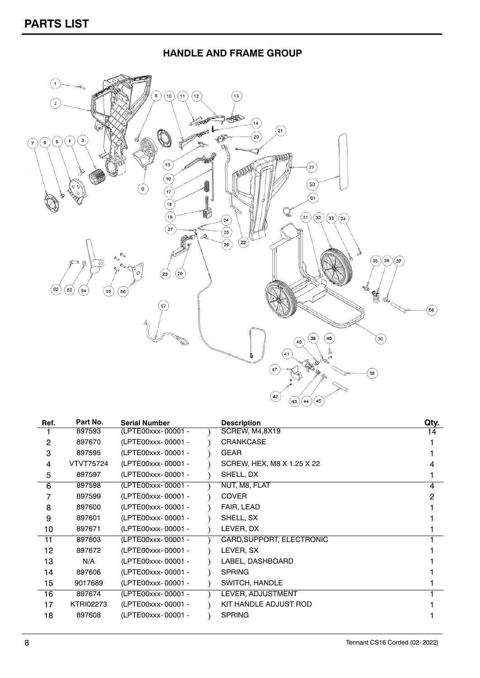## **HANDLE AND FRAME GROUP**



| Part No.         | <b>Serial Number</b> | <b>Description</b>         | Qty. |
|------------------|----------------------|----------------------------|------|
| 897593           | (LPTE00xxx-00001 -   | SCREW, M4,8X19             | 14   |
| 897670           | (LPTE00xxx-00001 -   | <b>CRANKCASE</b>           |      |
| 897595           | (LPTE00xxx-00001 -   | <b>GEAR</b>                |      |
| VTVT75724        | (LPTE00xxx-00001 -   | SCREW, HEX, M8 X 1.25 X 22 |      |
| 897597           | (LPTE00xxx-00001 -   | SHELL, DX                  |      |
| 897598           | (LPTE00xxx-00001 -   | NUT, M8, FLAT              | 4    |
| 897599           | (LPTE00xxx-00001 -   | <b>COVER</b>               | 2    |
| 897600           | (LPTE00xxx-00001 -   | FAIR, LEAD                 |      |
| 897601           | (LPTE00xxx-00001 -   | SHELL, SX                  |      |
| 897671           | (LPTE00xxx-00001 -   | LEVER, DX                  |      |
| 897603           | (LPTE00xxx-00001 -   | CARD, SUPPORT, ELECTRONIC  |      |
| 897672           | (LPTE00xxx-00001 -   | LEVER, SX                  |      |
| N/A              | (LPTE00xxx-00001 -   | LABEL, DASHBOARD           |      |
| 897606           | (LPTE00xxx-00001 -   | <b>SPRING</b>              |      |
| 9017689          | (LPTE00xxx-00001 -   | SWITCH, HANDLE             |      |
| 897674           | (LPTE00xxx-00001 -   | LEVER, ADJUSTMENT          |      |
| <b>KTRI02273</b> | (LPTE00xxx-00001 -   | KIT HANDLE ADJUST ROD      |      |
| 897608           | (LPTE00xxx-00001 -   | <b>SPRING</b>              |      |
|                  |                      |                            |      |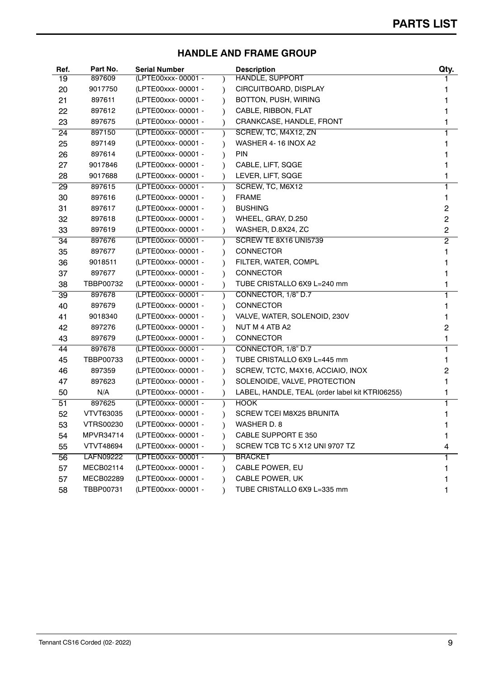## **HANDLE AND FRAME GROUP**

| Ref. | Part No.         | <b>Serial Number</b> |           | <b>Description</b>                              | Qty.           |
|------|------------------|----------------------|-----------|-------------------------------------------------|----------------|
| 19   | 897609           | (LPTE00xxx-00001 -   |           | <b>HANDLE, SUPPORT</b>                          |                |
| 20   | 9017750          | (LPTE00xxx-00001 -   |           | CIRCUITBOARD, DISPLAY                           |                |
| 21   | 897611           | (LPTE00xxx-00001 -   |           | BOTTON, PUSH, WIRING                            |                |
| 22   | 897612           | (LPTE00xxx-00001 -   | $\lambda$ | CABLE, RIBBON, FLAT                             |                |
| 23   | 897675           | (LPTE00xxx-00001 -   |           | CRANKCASE, HANDLE, FRONT                        |                |
| 24   | 897150           | (LPTE00xxx-00001 -   |           | SCREW, TC, M4X12, ZN                            |                |
| 25   | 897149           | (LPTE00xxx-00001 -   |           | WASHER 4-16 INOX A2                             |                |
| 26   | 897614           | (LPTE00xxx-00001 -   | $\lambda$ | <b>PIN</b>                                      |                |
| 27   | 9017846          | (LPTE00xxx-00001 -   |           | CABLE, LIFT, SQGE                               |                |
| 28   | 9017688          | (LPTE00xxx-00001 -   |           | LEVER, LIFT, SQGE                               |                |
| 29   | 897615           | (LPTE00xxx-00001 -   |           | SCREW, TC, M6X12                                |                |
| 30   | 897616           | (LPTE00xxx-00001 -   | $\lambda$ | <b>FRAME</b>                                    |                |
| 31   | 897617           | (LPTE00xxx-00001 -   |           | <b>BUSHING</b>                                  | 2              |
| 32   | 897618           | (LPTE00xxx-00001 -   |           | WHEEL, GRAY, D.250                              | $\overline{c}$ |
| 33   | 897619           | (LPTE00xxx-00001 -   |           | WASHER, D.8X24, ZC                              | $\overline{c}$ |
| 34   | 897676           | (LPTE00xxx-00001 -   |           | SCREW TE 8X16 UNI5739                           | $\overline{2}$ |
| 35   | 897677           | (LPTE00xxx-00001 -   |           | <b>CONNECTOR</b>                                |                |
| 36   | 9018511          | (LPTE00xxx-00001 -   |           | FILTER, WATER, COMPL                            |                |
| 37   | 897677           | (LPTE00xxx-00001 -   |           | <b>CONNECTOR</b>                                |                |
| 38   | TBBP00732        | (LPTE00xxx-00001 -   |           | TUBE CRISTALLO 6X9 L=240 mm                     |                |
| 39   | 897678           | (LPTE00xxx-00001 -   | $\lambda$ | CONNECTOR, 1/8" D.7                             |                |
| 40   | 897679           | (LPTE00xxx-00001 -   |           | <b>CONNECTOR</b>                                |                |
| 41   | 9018340          | (LPTE00xxx-00001 -   |           | VALVE, WATER, SOLENOID, 230V                    |                |
| 42   | 897276           | (LPTE00xxx-00001 -   |           | NUT M 4 ATB A2                                  | 2              |
| 43   | 897679           | (LPTE00xxx-00001 -   |           | <b>CONNECTOR</b>                                |                |
| 44   | 897678           | (LPTE00xxx-00001 -   |           | CONNECTOR, 1/8" D.7                             |                |
| 45   | TBBP00733        | (LPTE00xxx-00001 -   |           | TUBE CRISTALLO 6X9 L=445 mm                     |                |
| 46   | 897359           | (LPTE00xxx-00001 -   |           | SCREW, TCTC, M4X16, ACCIAIO, INOX               | 2              |
| 47   | 897623           | (LPTE00xxx-00001 -   | $\lambda$ | SOLENOIDE, VALVE, PROTECTION                    |                |
| 50   | N/A              | (LPTE00xxx-00001 -   |           | LABEL, HANDLE, TEAL (order label kit KTRI06255) |                |
| 51   | 897625           | (LPTE00xxx-00001 -   |           | <b>HOOK</b>                                     |                |
| 52   | VTVT63035        | (LPTE00xxx-00001 -   |           | SCREW TCEI M8X25 BRUNITA                        |                |
| 53   | <b>VTRS00230</b> | (LPTE00xxx-00001 -   |           | WASHER D. 8                                     |                |
| 54   | MPVR34714        | (LPTE00xxx-00001 -   |           | CABLE SUPPORT E 350                             |                |
| 55   | <b>VTVT48694</b> | (LPTE00xxx-00001 -   |           | SCREW TCB TC 5 X12 UNI 9707 TZ                  | 4              |
| 56   | <b>LAFN09222</b> | (LPTE00xxx-00001 -   |           | <b>BRACKET</b>                                  |                |
| 57   | <b>MECB02114</b> | (LPTE00xxx-00001 -   |           | CABLE POWER, EU                                 |                |
| 57   | MECB02289        | (LPTE00xxx-00001 -   |           | CABLE POWER, UK                                 |                |
| 58   | TBBP00731        | (LPTE00xxx-00001 -   |           | TUBE CRISTALLO 6X9 L=335 mm                     |                |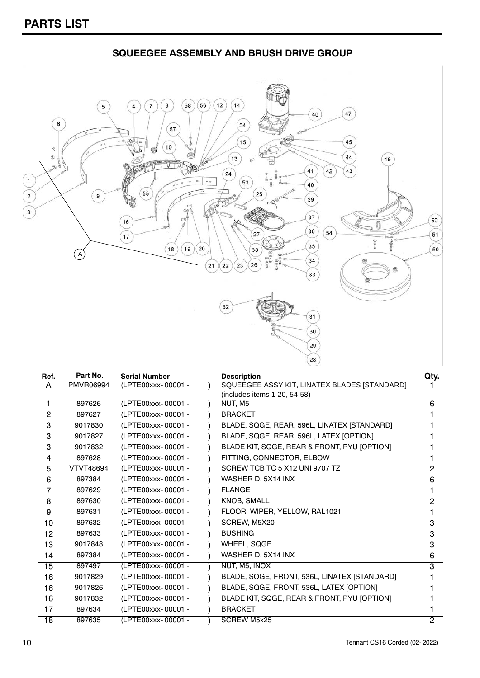**SQUEEGEE ASSEMBLY AND BRUSH DRIVE GROUP**  $(58)(56)(12)(14)$  $\bullet$  $\overline{\phantom{a}}$  $\overline{4}$  $\overline{7}$  $\left(47\right)$  $48$  $\overline{\phantom{a}}$  $(54)$  $\overline{\overline{57}}$  $(15)$ 45  $\sqrt{10}$ 9<br>9  $\sqrt{13}$  $44$  $\sqrt{49}$ X  $41$ 43  $(42)$  $\sqrt{24}$  $\mathbf{1}$  $\boxed{53}$ ..  $\sqrt{40}$ 55  $\overline{\mathbf{r}}$  $\sqrt{9}$  $\overline{\phantom{a}}$  $\boxed{16}$  $\sqrt{17}$ t 5 6 f  $(19)$  $(18)$  $(A)$ 

| ъ<br>$\ddot{\circ}$ | 25       | $\sim_{\mathcal{O}_\heartsuit}$ | 39             |  |
|---------------------|----------|---------------------------------|----------------|--|
|                     | 27       |                                 | 37<br>36<br>54 |  |
| 20                  | 38       | ë<br>$\frac{1}{2}$<br>ß,        | 35<br>34       |  |
| 22<br>21            | 26<br>23 | a<br>D                          | 33             |  |
| 32                  |          |                                 | 31             |  |
|                     | w        | ъ                               | 30             |  |
|                     |          |                                 | 29<br>28       |  |

| SQUEEGEE ASSY KIT, LINATEX BLADES [STANDARD]<br><b>PMVR06994</b><br>(LPTE00xxx-00001 -<br>A<br>(includes items 1-20, 54-58) | 6 |
|-----------------------------------------------------------------------------------------------------------------------------|---|
|                                                                                                                             |   |
|                                                                                                                             |   |
| (LPTE00xxx-00001 -<br>NUT, M5<br>897626<br>1                                                                                |   |
| 2<br>(LPTE00xxx-00001 -<br><b>BRACKET</b><br>897627                                                                         |   |
| 3<br>(LPTE00xxx-00001 -<br>BLADE, SQGE, REAR, 596L, LINATEX [STANDARD]<br>9017830                                           |   |
| (LPTE00xxx-00001 -<br>BLADE, SQGE, REAR, 596L, LATEX [OPTION]<br>3<br>9017827                                               |   |
| BLADE KIT, SQGE, REAR & FRONT, PYU [OPTION]<br>(LPTE00xxx-00001 -<br>9017832<br>3                                           |   |
| FITTING, CONNECTOR, ELBOW<br>897628<br>(LPTE00xxx-00001 -<br>4                                                              |   |
| SCREW TCB TC 5 X12 UNI 9707 TZ<br><b>VTVT48694</b><br>(LPTE00xxx-00001 -<br>5                                               | 2 |
| (LPTE00xxx-00001 -<br>897384<br>WASHER D. 5X14 INX<br>6                                                                     | 6 |
| 7<br>(LPTE00xxx-00001 -<br><b>FLANGE</b><br>897629                                                                          |   |
| 8<br>(LPTE00xxx-00001 -<br><b>KNOB, SMALL</b><br>897630                                                                     | 2 |
| (LPTE00xxx-00001 -<br>FLOOR, WIPER, YELLOW, RAL1021<br>9<br>897631                                                          |   |
| (LPTE00xxx-00001 -<br>SCREW, M5X20<br>897632<br>10                                                                          | з |
| (LPTE00xxx-00001 -<br><b>BUSHING</b><br>897633<br>12                                                                        | 3 |
| WHEEL, SQGE<br>9017848<br>(LPTE00xxx-00001 -<br>13                                                                          | 3 |
| (LPTE00xxx-00001 -<br>WASHER D. 5X14 INX<br>897384<br>14                                                                    | 6 |
| (LPTE00xxx-00001 -<br>NUT, M5, INOX<br>15<br>897497                                                                         | 3 |
| (LPTE00xxx-00001 -<br>16<br>9017829<br>BLADE, SQGE, FRONT, 536L, LINATEX [STANDARD]                                         |   |
| BLADE, SQGE, FRONT, 536L, LATEX [OPTION]<br>9017826<br>(LPTE00xxx-00001 -<br>16                                             |   |
| BLADE KIT, SQGE, REAR & FRONT, PYU [OPTION]<br>(LPTE00xxx-00001 -<br>16<br>9017832                                          |   |
| (LPTE00xxx-00001 -<br><b>BRACKET</b><br>897634<br>17                                                                        |   |
| <b>SCREW M5x25</b><br>(LPTE00xxx-00001 -<br>897635<br>18                                                                    | 2 |

 $52$ 

 $\widehat{51}$ 

50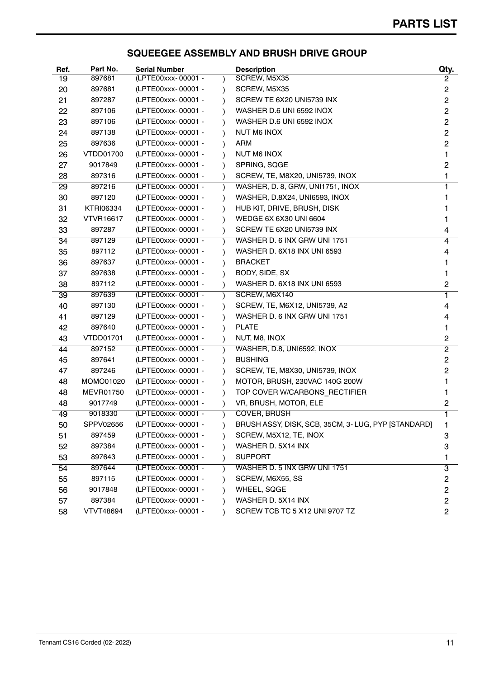### **SQUEEGEE ASSEMBLY AND BRUSH DRIVE GROUP**

| Ref. | Part No.         | <b>Serial Number</b> |           | <b>Description</b>                                 | Qty.           |
|------|------------------|----------------------|-----------|----------------------------------------------------|----------------|
| 19   | 897681           | (LPTE00xxx-00001 -   |           | SCREW, M5X35                                       | 2              |
| 20   | 897681           | (LPTE00xxx-00001 -   | $\lambda$ | SCREW, M5X35                                       | 2              |
| 21   | 897287           | (LPTE00xxx-00001 -   | $\lambda$ | SCREW TE 6X20 UNI5739 INX                          | $\overline{c}$ |
| 22   | 897106           | (LPTE00xxx-00001 -   |           | WASHER D.6 UNI 6592 INOX                           | $\overline{c}$ |
| 23   | 897106           | (LPTE00xxx-00001 -   |           | WASHER D.6 UNI 6592 INOX                           | $\overline{c}$ |
| 24   | 897138           | (LPTE00xxx-00001 -   |           | NUT M6 INOX                                        | $\overline{2}$ |
| 25   | 897636           | (LPTE00xxx-00001 -   |           | <b>ARM</b>                                         | $\overline{c}$ |
| 26   | VTDD01700        | (LPTE00xxx-00001 -   |           | <b>NUT M6 INOX</b>                                 |                |
| 27   | 9017849          | (LPTE00xxx-00001 -   |           | SPRING, SQGE                                       | 2              |
| 28   | 897316           | (LPTE00xxx-00001 -   |           | SCREW, TE, M8X20, UNI5739, INOX                    |                |
| 29   | 897216           | (LPTE00xxx-00001 -   |           | WASHER, D. 8, GRW, UNI1751, INOX                   |                |
| 30   | 897120           | (LPTE00xxx-00001 -   |           | WASHER, D.8X24, UNI6593, INOX                      |                |
| 31   | <b>KTRI06334</b> | (LPTE00xxx-00001 -   |           | HUB KIT, DRIVE, BRUSH, DISK                        |                |
| 32   | <b>VTVR16617</b> | (LPTE00xxx-00001 -   |           | WEDGE 6X 6X30 UNI 6604                             |                |
| 33   | 897287           | (LPTE00xxx-00001 -   |           | SCREW TE 6X20 UNI5739 INX                          | 4              |
| 34   | 897129           | (LPTE00xxx-00001 -   | $\lambda$ | WASHER D. 6 INX GRW UNI 1751                       | 4              |
| 35   | 897112           | (LPTE00xxx-00001 -   |           | WASHER D. 6X18 INX UNI 6593                        | 4              |
| 36   | 897637           | (LPTE00xxx-00001 -   |           | <b>BRACKET</b>                                     |                |
| 37   | 897638           | (LPTE00xxx-00001 -   |           | BODY, SIDE, SX                                     |                |
| 38   | 897112           | (LPTE00xxx-00001 -   | $\lambda$ | <b>WASHER D. 6X18 INX UNI 6593</b>                 | $\overline{c}$ |
| 39   | 897639           | (LPTE00xxx-00001 -   |           | SCREW, M6X140                                      | 1              |
| 40   | 897130           | (LPTE00xxx-00001 -   |           | SCREW, TE, M6X12, UNI5739, A2                      | 4              |
| 41   | 897129           | (LPTE00xxx-00001 -   |           | WASHER D. 6 INX GRW UNI 1751                       | 4              |
| 42   | 897640           | (LPTE00xxx-00001 -   | $\lambda$ | <b>PLATE</b>                                       |                |
| 43   | VTDD01701        | (LPTE00xxx-00001 -   |           | NUT, M8, INOX                                      | 2              |
| 44   | 897152           | (LPTE00xxx-00001 -   |           | WASHER, D.8, UNI6592, INOX                         | $\overline{2}$ |
| 45   | 897641           | (LPTE00xxx-00001 -   |           | <b>BUSHING</b>                                     | 2              |
| 47   | 897246           | (LPTE00xxx-00001 -   | $\lambda$ | SCREW, TE, M8X30, UNI5739, INOX                    | 2              |
| 48   | MOMO01020        | (LPTE00xxx-00001 -   |           | MOTOR, BRUSH, 230VAC 140G 200W                     |                |
| 48   | <b>MEVR01750</b> | (LPTE00xxx-00001 -   |           | TOP COVER W/CARBONS RECTIFIER                      |                |
| 48   | 9017749          | (LPTE00xxx-00001 -   |           | VR, BRUSH, MOTOR, ELE                              | 2              |
| 49   | 9018330          | (LPTE00xxx-00001 -   |           | <b>COVER, BRUSH</b>                                |                |
| 50   | SPPV02656        | (LPTE00xxx-00001 -   |           | BRUSH ASSY, DISK, SCB, 35CM, 3-LUG, PYP [STANDARD] | ı              |
| 51   | 897459           | (LPTE00xxx-00001 -   |           | SCREW, M5X12, TE, INOX                             | 3              |
| 52   | 897384           | (LPTE00xxx-00001 -   |           | WASHER D. 5X14 INX                                 | 3              |
| 53   | 897643           | (LPTE00xxx-00001 -   |           | <b>SUPPORT</b>                                     | 1              |
| 54   | 897644           | (LPTE00xxx-00001 -   |           | WASHER D. 5 INX GRW UNI 1751                       | 3              |
| 55   | 897115           | (LPTE00xxx-00001 -   |           | SCREW, M6X55, SS                                   | 2              |
| 56   | 9017848          | (LPTE00xxx-00001 -   |           | WHEEL, SQGE                                        | 2              |
| 57   | 897384           | (LPTE00xxx-00001 -   |           | WASHER D. 5X14 INX                                 | 2              |
| 58   | <b>VTVT48694</b> | (LPTE00xxx-00001 -   |           | SCREW TCB TC 5 X12 UNI 9707 TZ                     | $\overline{c}$ |